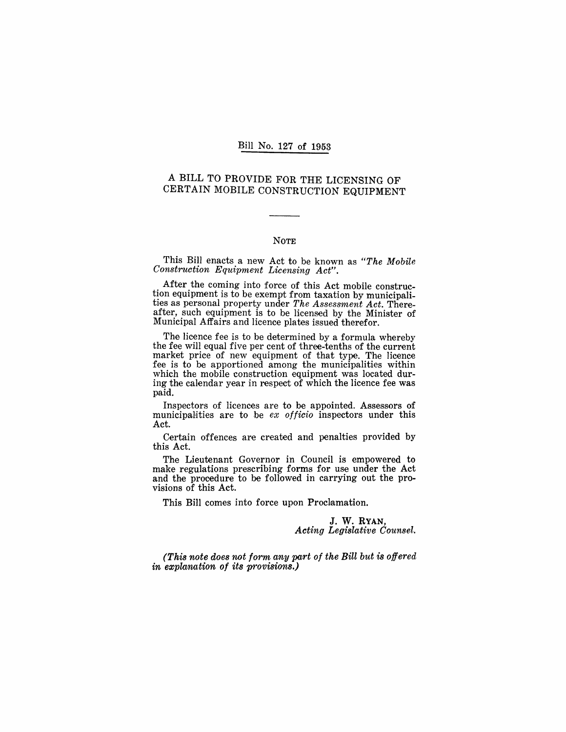#### Bill No. 127 of 1953

## A BILL TO PROVIDE FOR THE LICENSING OF CERTAIN MOBILE CONSTRUCTION EQUIPMENT

#### NOTE

This Bill enacts a new Act to be known as *"The Mobile Construction Equipment Licensing Act".* 

After the coming into force of this Act mobile construction equipment is to be exempt from taxation by municipalities as personal property under *The Assessment Act.* Thereafter, such equipment is to be licensed by the Minister of Municipal Affairs and licence plates issued therefor.

The licence fee is to be determined by a formula whereby the fee will equal five per cent of three-tenths of the current market price of new equipment of that type. The licence fee is to be apportioned among the municipalities within which the mobile construction equipment was located during the calendar year in respect of which the licence fee was paid.

Inspectors of licences are to be appointed. Assessors of municipalities are to be *ex officio* inspectors under this Act.

Certain offences are created and penalties provided by this Act.

The Lieutenant Governor in Council is empowered to make regulations prescribing forms for use under the Act and the procedure to be followed in carrying out the provisions of this Act.

This Bill comes into force upon Proclamation.

J. W. RYAN, *Acting Legislative Counsel.* 

*(This note does not form any part of the Bill but* is *offered in explanation of its provisions.)*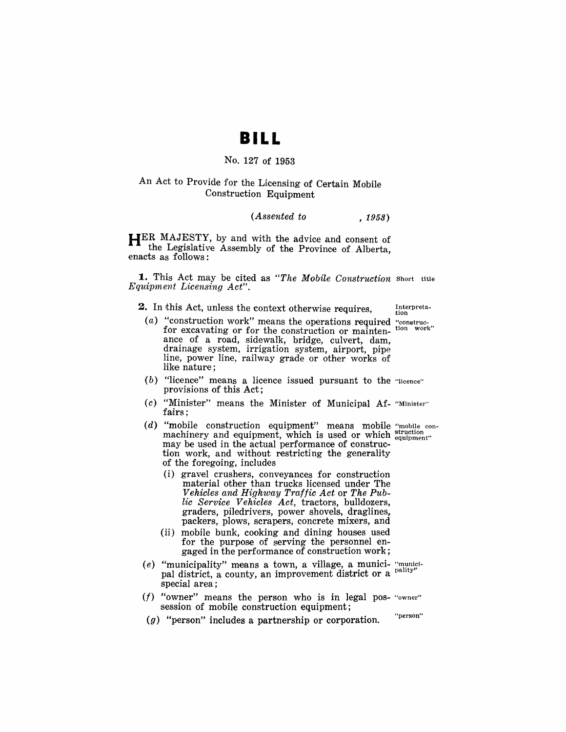# **BILL**

#### No, 127 of 1953

#### An Act to Provide for the Licensing of Certain Mobile Construction Equipment

#### *(Assented to* , 1953)

**HER** MAJESTY, by and with the advice and consent of the Legislative Assembly of the Province of. Alberta, enacts as follows:

**1.** This Act may be cited as *"The Mobile Construction* Short title *Equipment Licensing Act",* 

**2.** In this Act, unless the context otherwise requires, Interpreta-

- (a) "construction work" means the operations required "construction" for excavating or for the construction or maintan,  $\frac{1}{2}$  tion work" for excavating or for the construction or maintenance of a road, sidewalk, bridge, culvert, dam, drainage system, irrigation system, airport, pipe line, power line, railway grade or other works of like nature;
- (b) "licence" means a licence issued pursuant to the "licence" provisions of this Act;
- (c) "Minister" means the Minister of Municipal Af- "Minister" fairs;
- (d) "mobile construction equipment" means mobile "mobile conmachinery and equipment, which is used or which struction equipment" may be used in the actual performance of construction work, and without restricting the generality of the foregoing, includes
	- (i) gravel crushers, conveyances for construction material other than trucks licensed under The *Vehicles and Highway Traffic Act* or *The Public Service Vehicles Act,* tractors, bulldozers, graders, piledrivers, power shovels, draglines, packers, plows, scrapers, concrete mixers, and
	- (ii) mobile bunk, cooking and dining houses used for the purpose of serving the personnel engaged in the performance of construction work;
- (e) "municipality" means a town, a village, a munici- "municipal district, a county, an improvement district or a pality special area;
- $(f)$  "owner" means the person who is in legal pos- "owner" session of mobile construction equipment;
- $(g)$  "person" includes a partnership or corporation. "person"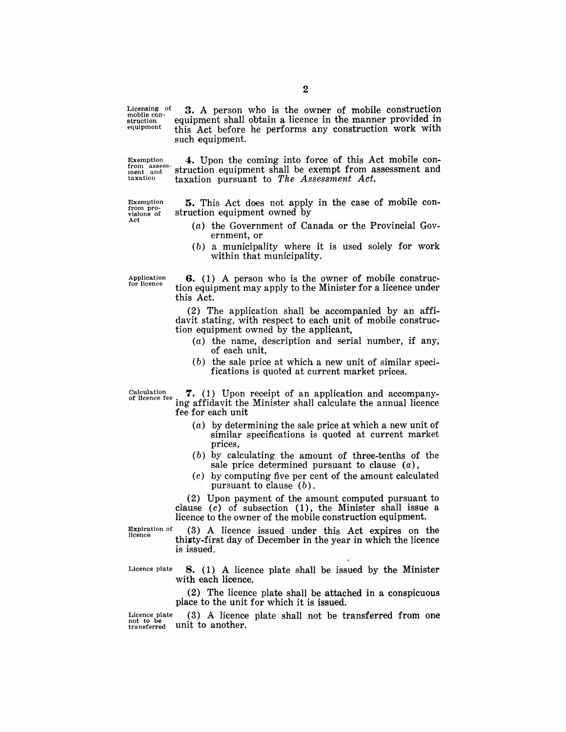Licensing of 3. A person who is the owner of mobile construction mobile con-<br>equipment this Act before be performs any construction work with this Act before he performs any construction work with such equipment.

Exemption 4. Upon the coming into force of this Act mobile con-<br>from assessment and struction equipment shall be exempt from assessment and  $\sum_{n=1}^{\text{from assets}}$  struction equipment shall be exempt from assessment and  $\max$  and taxation pursuant to The Assessment Act. taxation pursuant to *The Assessment Act*.

Exemption from provisions of Act

5. This Act does not apply in the case of mobile construction equipment owned by

- (a) the Government of Canada or the Provincial Government, or
- (b) a municipality where it is used solely for work within that municipality.

Application<br>for licence

6. (1) A person who is the owner of mobile construction equipment may apply to the Minister for a licence under this Act.

(2) The application shall be accompanied by an affidavit stating, with respect to each unit of mobile construction equipment owned by the applicant,

- $(a)$  the name, description and serial number, if any, of each unit,
- $(b)$  the sale price at which a new unit of similar specifications is quoted at current market prices.

Calculation  $\sigma$ .  $\sigma$ . (1) Upon receipt of an application and accompanying affidavit the Minister shall calculate the annual licence fee for each unit

- (a) by determining the sale price at which a new unit of similar specifications is quoted at current market prices,
- $(b)$  by calculating the amount of three-tenths of the sale price determined pursuant to clause  $(a)$ ,
- (c) by computing five per cent of the amount calculated pursuant to clause (b).

(2) Upon payment of the amount computed pursuant to clause  $(c)$  of subsection  $(1)$ , the Minister shall issue a licence to the owner of the mobile construction equipment.

Expiration of licence

(3) A licence issued under this Act expires on the thirty-first day of December in the year in which the licence is issued.

Licence plate  $\, 8. \, (1)$  A licence plate shall be issued by the Minister with each licence.

> (2) The licence plate shall be attached in a conspicuous place to the unit for which it is issued.

Licence plate  $(3)$  A licence plate shall not be transferred from one not to be transferred unit to another.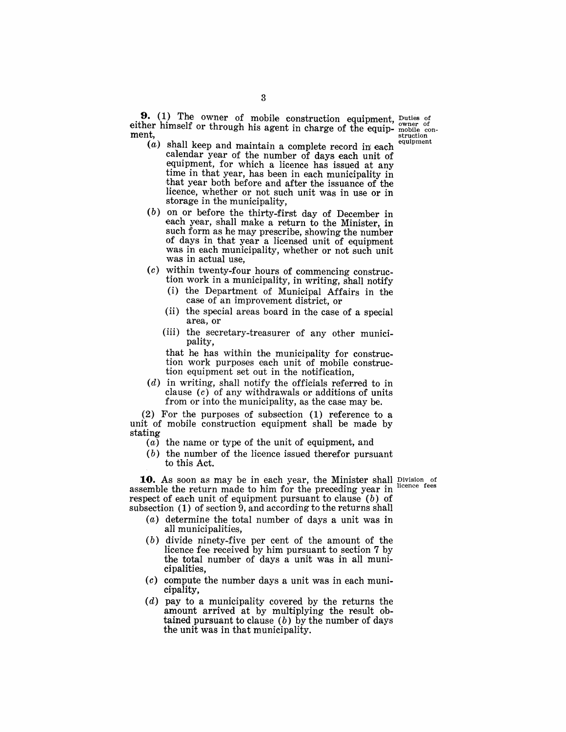- **9.** (1) The owner of mobile construction equipment, Duties of either himself or through his agent in charge of the equip- mobile con-<br>ment, ment,  $(a)$  shall keep and maintain a complete record in each equipment
	- calendar year of the number of days each unit of equipment, for which a licence has issued at any time in that year, has been in each municipality in that year both before and after the issuance of the licence, whether or not such unit was in use or in storage in the municipality,
	- (b) on or before the thirty-first day of December in each year, shall make a return to the Minister, in such form as he may prescribe, showing the number of days in that year a licensed unit of equipment was in each municipality, whether or not such unit was in actual use,
	- (c) within twenty-four hours of commencing construction work in a municipality, in writing, shall notify
		- (i) the Department of Municipal Affairs in the case of an improvement district, or
		- (ii) the special areas board in the case of a special area, or
		- (iii) the secretary-treasurer of any other municipality,

that he has within the municipality for construction work purposes each unit of mobile construction equipment set out in the notification,

(d) in writing, shall notify the officials referred to in clause  $(c)$  of any withdrawals or additions of units from or into the municipality, as the case may be,

(2) For the purposes of subsection (1) reference to a unit of mobile construction equipment shall be made by stating

- (a) the name or type of the unit of equipment, and
- (b) the number of the licence issued therefor pursuant to this Act.

**10.** As soon as may be in each year, the Minister shall Division of somble the noturn made to him for the procedure wear in licence fees assemble the return made to him for the preceding year in respect of each unit of equipment pursuant to clause  $(b)$  of subsection (1) of section 9, and according to the returns shall

- (a) determine the total number of days a unit was in all municipalities,
- (b) divide ninety-five per cent of the amount of the licence fee received by him pursuant to section 7 by the total number of days a unit was in all municipalities,
- (c) compute the number days a unit was in each municipality,
- (d) pay to a municipality covered by the returns the amount arrived at by multiplying the result obtained pursuant to clause  $(b)$  by the number of days the unit was in that municipality,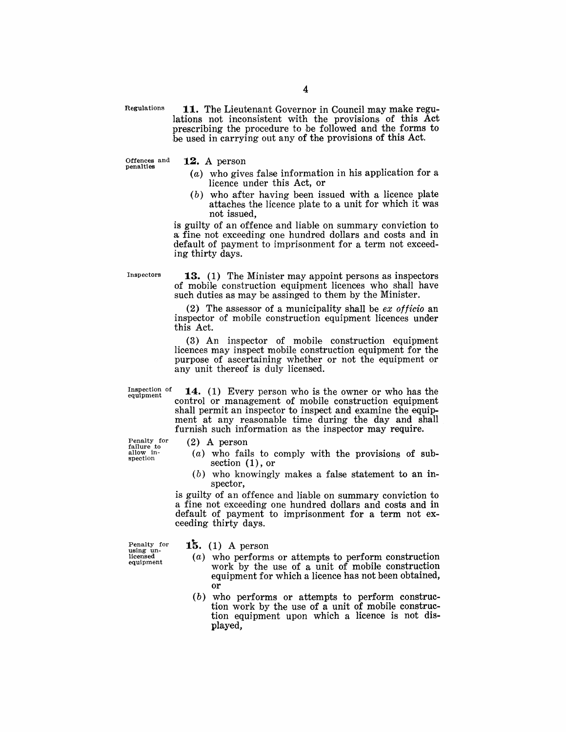Regulations

**11.** The Lieutenant Governor in Council may make regulations not inconsistent with the provisions of this Act prescribing the procedure to be followed and the forms to he used in carrying out any of the provisions of this Act.

Offences and penalties **12. A** person

- (a) who gives false information in his application for a licence under this Act, or
- (b) who after having been issued with a licence plate attaches the licence plate to a unit for which it was not issued,

is guilty of an offence and liable on summary conviction to a fine not exceeding one hundred dollars and costs and in default of payment to imprisonment for a term not exceeding thirty days.

**Inspectors** 

**13.** (1) The Minister may appoint persons as inspectors of mobile construction equipment licences who shall have such duties as may be assinged to them by the Minister.

(2) The assessor of a municipality shall be *ex officio* an inspector of mobile construction equipment licences under this Act.

 $(3)$  An inspector of mobile construction equipment licences may inspect mobile construction equipment for the purpose of ascertaining whether or not the equipment or any unit thereof is duly licensed.

Inspection of equipment

**14.** (1) Every person who is the owner or who has the control or management of mobile construction equipment shall permit an inspector to inspect and examine the equipment at any reasonable time during the day and shall furnish such information as the inspector may require.

Penalty for failure to<br>allow inspection

- $(2)$  A person
- $(a)$  who fails to comply with the provisions of subsection (1), or
- (b) who knowingly makes a false statement to an inspector,

is guilty of an offence and liable on summary conviction to a fine not exceeding one hundred dollars and costs and in default of payment to imprisonment for a term not exceeding thirty days.

Penalty for<br>using unlicensed equipment

**15.** (1) A person

- $(a)$  who performs or attempts to perform construction work by the use of a unit of mobile construction equipment for which a licence has not been obtained, or
- $(b)$  who performs or attempts to perform construction work by the use of a unit of mobile construction equipment upon which a licence is not displayed,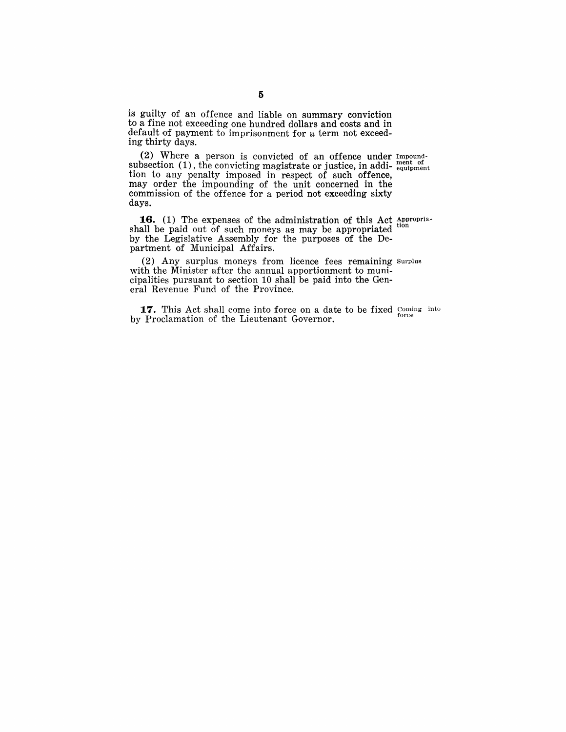is guilty of an offence and liable on summary conviction to a fine not exceeding one hundred dollars and costs and in default of payment to imprisonment for a term not exceeding thirty days.

(2) Where a person is convicted of an offence under Impoundsubsection  $(1)$ , the convicting magistrate or justice, in addi- $_{\text{equipment}}^{\text{ment of}}$ tion to any penalty imposed in respect of such offence, may order the impounding of the unit concerned in the commission of the offence for a period not exceeding sixty days.

**16.** (1) The expenses of the administration of this Act Appropriashall be paid out of such moneys as may be appropriated by the Legislative Assembly for the purposes of the Department of Municipal Affairs.

(2) Any surplus moneys from licence fees remaining Surplus with the Minister after the annual apportionment to municipalities pursuant to section 10 shall be paid into the General Revenue Fund of the Province.

**17.** This Act shall come into force on a date to be fixed Coming into by Proclamation of the Lieutenant Governor.